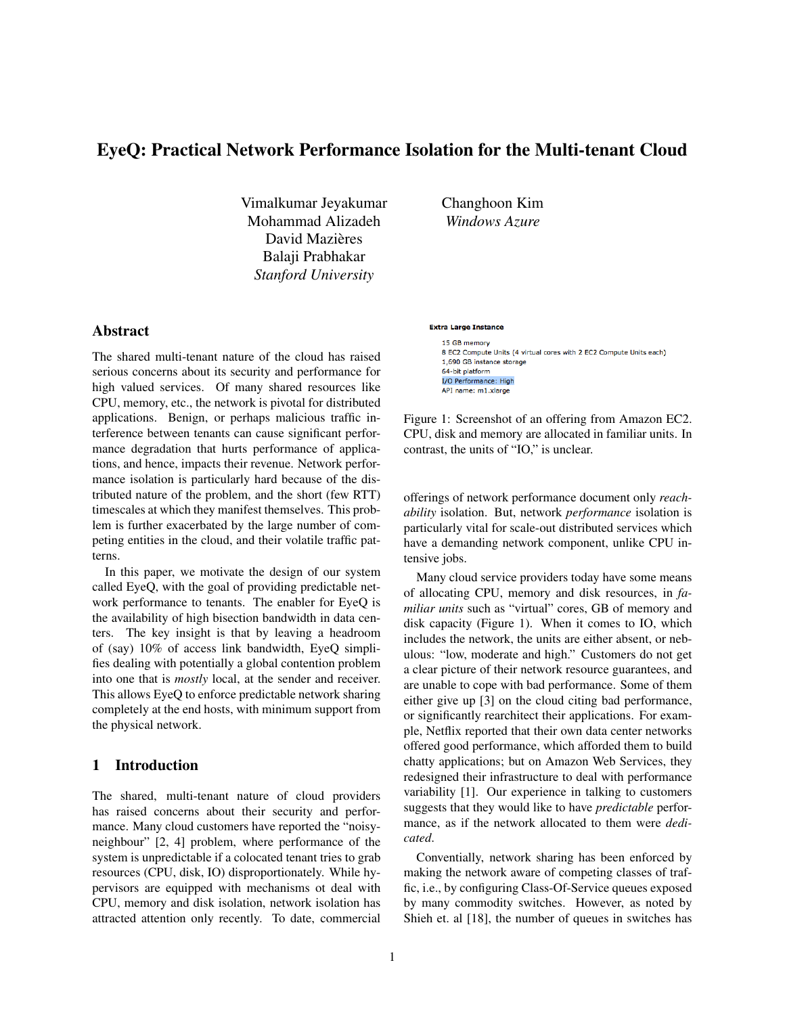# EyeQ: Practical Network Performance Isolation for the Multi-tenant Cloud

Vimalkumar Jeyakumar Mohammad Alizadeh David Mazières Balaji Prabhakar *Stanford University*

Changhoon Kim *Windows Azure*

# Abstract

The shared multi-tenant nature of the cloud has raised serious concerns about its security and performance for high valued services. Of many shared resources like CPU, memory, etc., the network is pivotal for distributed applications. Benign, or perhaps malicious traffic interference between tenants can cause significant performance degradation that hurts performance of applications, and hence, impacts their revenue. Network performance isolation is particularly hard because of the distributed nature of the problem, and the short (few RTT) timescales at which they manifest themselves. This problem is further exacerbated by the large number of competing entities in the cloud, and their volatile traffic patterns.

In this paper, we motivate the design of our system called EyeQ, with the goal of providing predictable network performance to tenants. The enabler for EyeQ is the availability of high bisection bandwidth in data centers. The key insight is that by leaving a headroom of (say) 10% of access link bandwidth, EyeQ simplifies dealing with potentially a global contention problem into one that is *mostly* local, at the sender and receiver. This allows EyeQ to enforce predictable network sharing completely at the end hosts, with minimum support from the physical network.

# 1 Introduction

The shared, multi-tenant nature of cloud providers has raised concerns about their security and performance. Many cloud customers have reported the "noisyneighbour" [2, 4] problem, where performance of the system is unpredictable if a colocated tenant tries to grab resources (CPU, disk, IO) disproportionately. While hypervisors are equipped with mechanisms ot deal with CPU, memory and disk isolation, network isolation has attracted attention only recently. To date, commercial

#### **Extra Large Instance**

15 GB memory 8 EC2 Compute Units (4 virtual cores with 2 EC2 Compute Units each) 1,690 GB instance storage 64-bit platform I/O Performance: High API name: m1.xlarge

Figure 1: Screenshot of an offering from Amazon EC2. CPU, disk and memory are allocated in familiar units. In contrast, the units of "IO," is unclear.

offerings of network performance document only *reachability* isolation. But, network *performance* isolation is particularly vital for scale-out distributed services which have a demanding network component, unlike CPU intensive jobs.

Many cloud service providers today have some means of allocating CPU, memory and disk resources, in *familiar units* such as "virtual" cores, GB of memory and disk capacity (Figure 1). When it comes to IO, which includes the network, the units are either absent, or nebulous: "low, moderate and high." Customers do not get a clear picture of their network resource guarantees, and are unable to cope with bad performance. Some of them either give up [3] on the cloud citing bad performance, or significantly rearchitect their applications. For example, Netflix reported that their own data center networks offered good performance, which afforded them to build chatty applications; but on Amazon Web Services, they redesigned their infrastructure to deal with performance variability [1]. Our experience in talking to customers suggests that they would like to have *predictable* performance, as if the network allocated to them were *dedicated*.

Conventially, network sharing has been enforced by making the network aware of competing classes of traffic, i.e., by configuring Class-Of-Service queues exposed by many commodity switches. However, as noted by Shieh et. al [18], the number of queues in switches has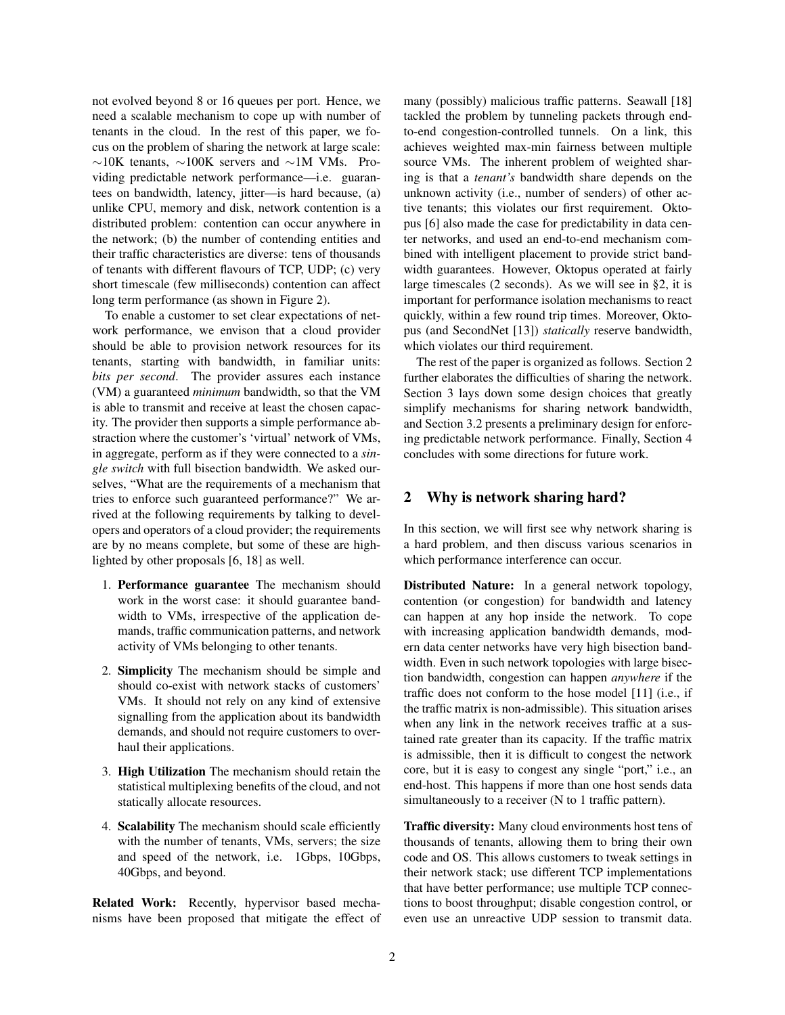not evolved beyond 8 or 16 queues per port. Hence, we need a scalable mechanism to cope up with number of tenants in the cloud. In the rest of this paper, we focus on the problem of sharing the network at large scale: ∼10K tenants, ∼100K servers and ∼1M VMs. Providing predictable network performance—i.e. guarantees on bandwidth, latency, jitter—is hard because, (a) unlike CPU, memory and disk, network contention is a distributed problem: contention can occur anywhere in the network; (b) the number of contending entities and their traffic characteristics are diverse: tens of thousands of tenants with different flavours of TCP, UDP; (c) very short timescale (few milliseconds) contention can affect long term performance (as shown in Figure 2).

To enable a customer to set clear expectations of network performance, we envison that a cloud provider should be able to provision network resources for its tenants, starting with bandwidth, in familiar units: *bits per second*. The provider assures each instance (VM) a guaranteed *minimum* bandwidth, so that the VM is able to transmit and receive at least the chosen capacity. The provider then supports a simple performance abstraction where the customer's 'virtual' network of VMs, in aggregate, perform as if they were connected to a *single switch* with full bisection bandwidth. We asked ourselves, "What are the requirements of a mechanism that tries to enforce such guaranteed performance?" We arrived at the following requirements by talking to developers and operators of a cloud provider; the requirements are by no means complete, but some of these are highlighted by other proposals [6, 18] as well.

- 1. Performance guarantee The mechanism should work in the worst case: it should guarantee bandwidth to VMs, irrespective of the application demands, traffic communication patterns, and network activity of VMs belonging to other tenants.
- 2. Simplicity The mechanism should be simple and should co-exist with network stacks of customers' VMs. It should not rely on any kind of extensive signalling from the application about its bandwidth demands, and should not require customers to overhaul their applications.
- 3. High Utilization The mechanism should retain the statistical multiplexing benefits of the cloud, and not statically allocate resources.
- 4. Scalability The mechanism should scale efficiently with the number of tenants, VMs, servers; the size and speed of the network, i.e. 1Gbps, 10Gbps, 40Gbps, and beyond.

Related Work: Recently, hypervisor based mechanisms have been proposed that mitigate the effect of many (possibly) malicious traffic patterns. Seawall [18] tackled the problem by tunneling packets through endto-end congestion-controlled tunnels. On a link, this achieves weighted max-min fairness between multiple source VMs. The inherent problem of weighted sharing is that a *tenant's* bandwidth share depends on the unknown activity (i.e., number of senders) of other active tenants; this violates our first requirement. Oktopus [6] also made the case for predictability in data center networks, and used an end-to-end mechanism combined with intelligent placement to provide strict bandwidth guarantees. However, Oktopus operated at fairly large timescales (2 seconds). As we will see in §2, it is important for performance isolation mechanisms to react quickly, within a few round trip times. Moreover, Oktopus (and SecondNet [13]) *statically* reserve bandwidth, which violates our third requirement.

The rest of the paper is organized as follows. Section 2 further elaborates the difficulties of sharing the network. Section 3 lays down some design choices that greatly simplify mechanisms for sharing network bandwidth, and Section 3.2 presents a preliminary design for enforcing predictable network performance. Finally, Section 4 concludes with some directions for future work.

#### 2 Why is network sharing hard?

In this section, we will first see why network sharing is a hard problem, and then discuss various scenarios in which performance interference can occur.

Distributed Nature: In a general network topology, contention (or congestion) for bandwidth and latency can happen at any hop inside the network. To cope with increasing application bandwidth demands, modern data center networks have very high bisection bandwidth. Even in such network topologies with large bisection bandwidth, congestion can happen *anywhere* if the traffic does not conform to the hose model [11] (i.e., if the traffic matrix is non-admissible). This situation arises when any link in the network receives traffic at a sustained rate greater than its capacity. If the traffic matrix is admissible, then it is difficult to congest the network core, but it is easy to congest any single "port," i.e., an end-host. This happens if more than one host sends data simultaneously to a receiver (N to 1 traffic pattern).

Traffic diversity: Many cloud environments host tens of thousands of tenants, allowing them to bring their own code and OS. This allows customers to tweak settings in their network stack; use different TCP implementations that have better performance; use multiple TCP connections to boost throughput; disable congestion control, or even use an unreactive UDP session to transmit data.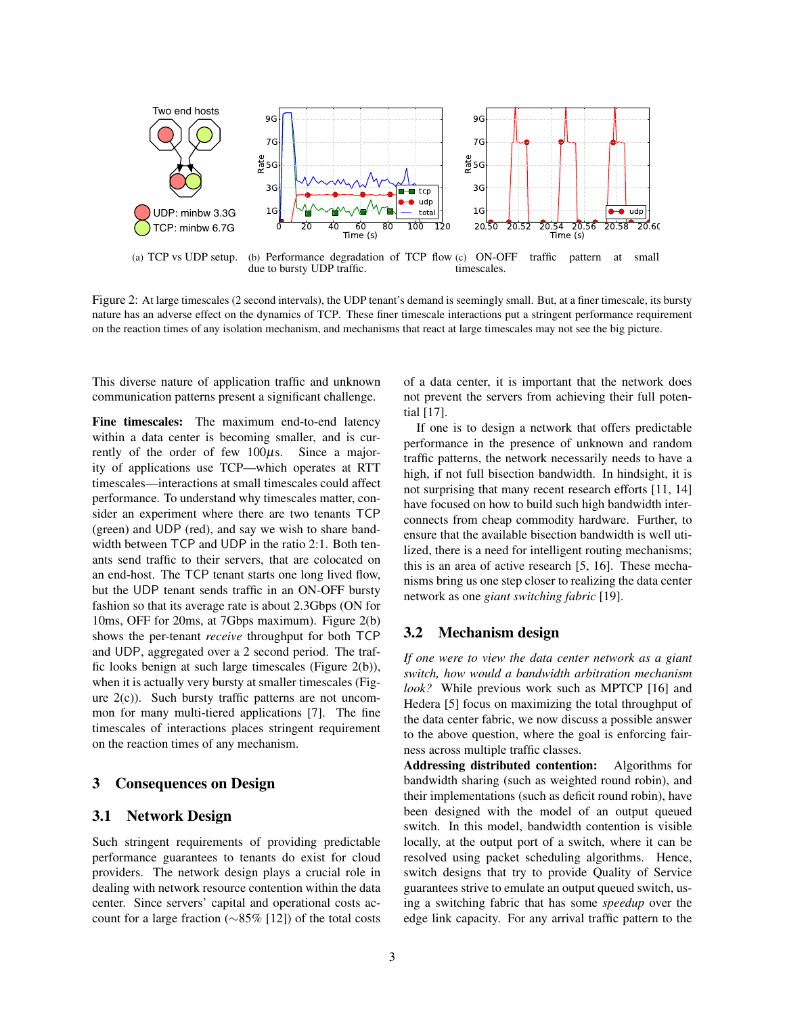

Figure 2: At large timescales (2 second intervals), the UDP tenant's demand is seemingly small. But, at a finer timescale, its bursty nature has an adverse effect on the dynamics of TCP. These finer timescale interactions put a stringent performance requirement on the reaction times of any isolation mechanism, and mechanisms that react at large timescales may not see the big picture.

This diverse nature of application traffic and unknown communication patterns present a significant challenge.

Fine timescales: The maximum end-to-end latency within a data center is becoming smaller, and is currently of the order of few  $100\mu s$ . Since a majority of applications use TCP—which operates at RTT timescales—interactions at small timescales could affect performance. To understand why timescales matter, consider an experiment where there are two tenants TCP (green) and UDP (red), and say we wish to share bandwidth between TCP and UDP in the ratio 2:1. Both tenants send traffic to their servers, that are colocated on an end-host. The TCP tenant starts one long lived flow, but the UDP tenant sends traffic in an ON-OFF bursty fashion so that its average rate is about 2.3Gbps (ON for 10ms, OFF for 20ms, at 7Gbps maximum). Figure 2(b) shows the per-tenant *receive* throughput for both TCP and UDP, aggregated over a 2 second period. The traffic looks benign at such large timescales (Figure 2(b)), when it is actually very bursty at smaller timescales (Figure 2(c)). Such bursty traffic patterns are not uncommon for many multi-tiered applications [7]. The fine timescales of interactions places stringent requirement on the reaction times of any mechanism.

#### 3 Consequences on Design

# 3.1 Network Design

Such stringent requirements of providing predictable performance guarantees to tenants do exist for cloud providers. The network design plays a crucial role in dealing with network resource contention within the data center. Since servers' capital and operational costs account for a large fraction (∼85% [12]) of the total costs of a data center, it is important that the network does not prevent the servers from achieving their full potential [17].

If one is to design a network that offers predictable performance in the presence of unknown and random traffic patterns, the network necessarily needs to have a high, if not full bisection bandwidth. In hindsight, it is not surprising that many recent research efforts [11, 14] have focused on how to build such high bandwidth interconnects from cheap commodity hardware. Further, to ensure that the available bisection bandwidth is well utilized, there is a need for intelligent routing mechanisms; this is an area of active research [5, 16]. These mechanisms bring us one step closer to realizing the data center network as one *giant switching fabric* [19].

### 3.2 Mechanism design

*If one were to view the data center network as a giant switch, how would a bandwidth arbitration mechanism look?* While previous work such as MPTCP [16] and Hedera [5] focus on maximizing the total throughput of the data center fabric, we now discuss a possible answer to the above question, where the goal is enforcing fairness across multiple traffic classes.

Addressing distributed contention: Algorithms for bandwidth sharing (such as weighted round robin), and their implementations (such as deficit round robin), have been designed with the model of an output queued switch. In this model, bandwidth contention is visible locally, at the output port of a switch, where it can be resolved using packet scheduling algorithms. Hence, switch designs that try to provide Quality of Service guarantees strive to emulate an output queued switch, using a switching fabric that has some *speedup* over the edge link capacity. For any arrival traffic pattern to the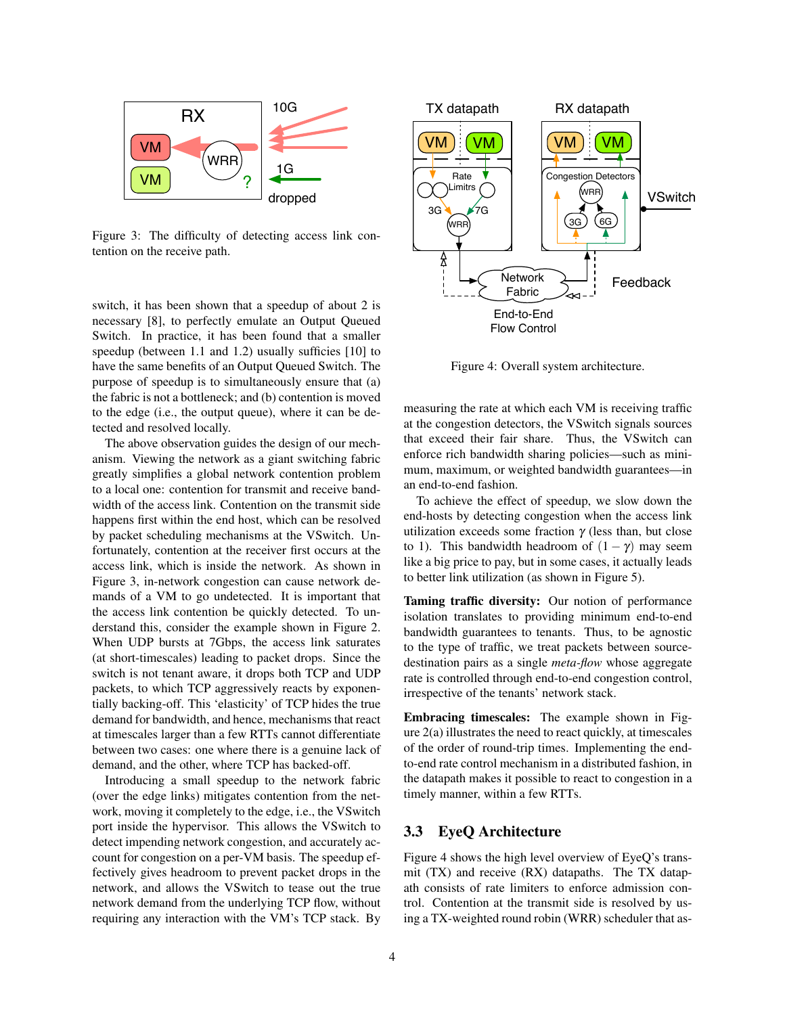

Figure 3: The difficulty of detecting access link contention on the receive path.

switch, it has been shown that a speedup of about 2 is necessary [8], to perfectly emulate an Output Queued Switch. In practice, it has been found that a smaller speedup (between 1.1 and 1.2) usually sufficies [10] to have the same benefits of an Output Queued Switch. The purpose of speedup is to simultaneously ensure that (a) the fabric is not a bottleneck; and (b) contention is moved to the edge (i.e., the output queue), where it can be detected and resolved locally.

The above observation guides the design of our mechanism. Viewing the network as a giant switching fabric greatly simplifies a global network contention problem to a local one: contention for transmit and receive bandwidth of the access link. Contention on the transmit side happens first within the end host, which can be resolved by packet scheduling mechanisms at the VSwitch. Unfortunately, contention at the receiver first occurs at the access link, which is inside the network. As shown in Figure 3, in-network congestion can cause network demands of a VM to go undetected. It is important that the access link contention be quickly detected. To understand this, consider the example shown in Figure 2. When UDP bursts at 7Gbps, the access link saturates (at short-timescales) leading to packet drops. Since the switch is not tenant aware, it drops both TCP and UDP packets, to which TCP aggressively reacts by exponentially backing-off. This 'elasticity' of TCP hides the true demand for bandwidth, and hence, mechanisms that react at timescales larger than a few RTTs cannot differentiate between two cases: one where there is a genuine lack of demand, and the other, where TCP has backed-off. swich, it has been shown that a speedup of about 2 is<br>
Velow the large of about 2 is<br>
Swich. In parcicle, it has been found that a smaller<br>
Syrical End-to-Effective (in the smaller and that is smaller<br>
Syrical Proposition

Introducing a small speedup to the network fabric (over the edge links) mitigates contention from the network, moving it completely to the edge, i.e., the VSwitch port inside the hypervisor. This allows the VSwitch to detect impending network congestion, and accurately account for congestion on a per-VM basis. The speedup effectively gives headroom to prevent packet drops in the network, and allows the VSwitch to tease out the true network demand from the underlying TCP flow, without



Figure 4: Overall system architecture.

measuring the rate at which each VM is receiving traffic at the congestion detectors, the VSwitch signals sources that exceed their fair share. Thus, the VSwitch can enforce rich bandwidth sharing policies—such as minimum, maximum, or weighted bandwidth guarantees—in an end-to-end fashion.

To achieve the effect of speedup, we slow down the end-hosts by detecting congestion when the access link utilization exceeds some fraction  $\gamma$  (less than, but close to 1). This bandwidth headroom of  $(1 - \gamma)$  may seem like a big price to pay, but in some cases, it actually leads to better link utilization (as shown in Figure 5).

Taming traffic diversity: Our notion of performance isolation translates to providing minimum end-to-end bandwidth guarantees to tenants. Thus, to be agnostic to the type of traffic, we treat packets between sourcedestination pairs as a single *meta-flow* whose aggregate rate is controlled through end-to-end congestion control, irrespective of the tenants' network stack.

Embracing timescales: The example shown in Figure 2(a) illustrates the need to react quickly, at timescales of the order of round-trip times. Implementing the endto-end rate control mechanism in a distributed fashion, in the datapath makes it possible to react to congestion in a timely manner, within a few RTTs.

# 3.3 EyeQ Architecture

Figure 4 shows the high level overview of EyeQ's transmit (TX) and receive (RX) datapaths. The TX datapath consists of rate limiters to enforce admission control. Contention at the transmit side is resolved by using a TX-weighted round robin (WRR) scheduler that as-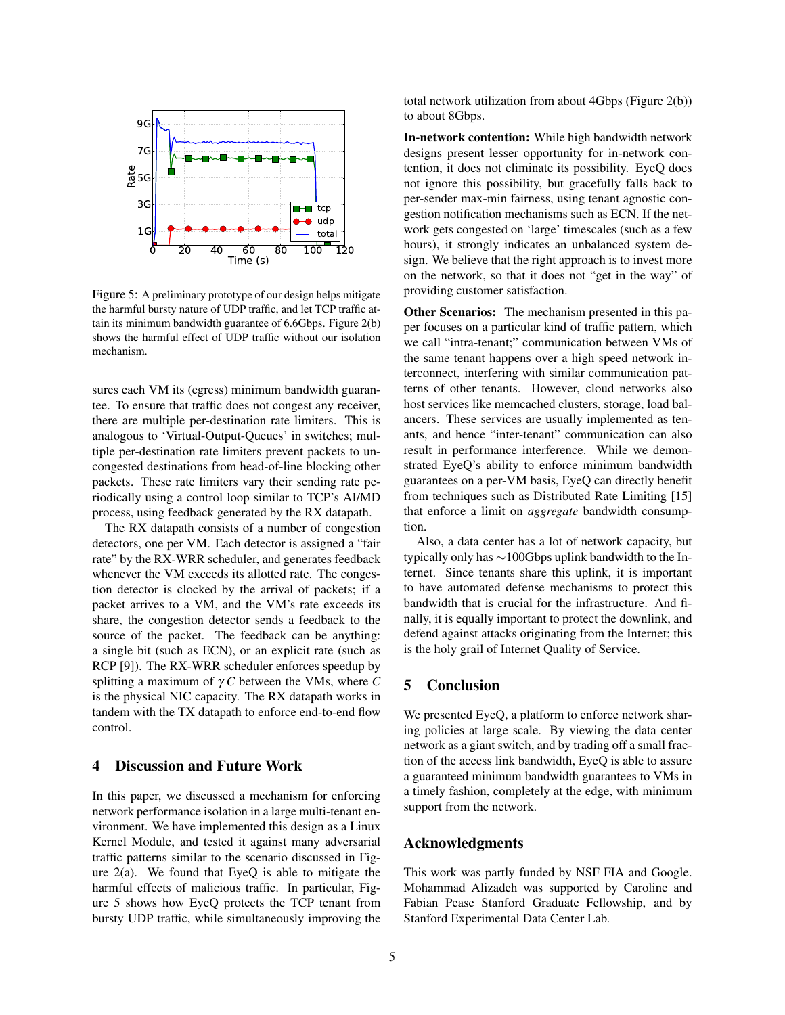

Figure 5: A preliminary prototype of our design helps mitigate the harmful bursty nature of UDP traffic, and let TCP traffic attain its minimum bandwidth guarantee of 6.6Gbps. Figure 2(b) shows the harmful effect of UDP traffic without our isolation mechanism.

sures each VM its (egress) minimum bandwidth guarantee. To ensure that traffic does not congest any receiver, there are multiple per-destination rate limiters. This is analogous to 'Virtual-Output-Queues' in switches; multiple per-destination rate limiters prevent packets to uncongested destinations from head-of-line blocking other packets. These rate limiters vary their sending rate periodically using a control loop similar to TCP's AI/MD process, using feedback generated by the RX datapath.

The RX datapath consists of a number of congestion detectors, one per VM. Each detector is assigned a "fair rate" by the RX-WRR scheduler, and generates feedback whenever the VM exceeds its allotted rate. The congestion detector is clocked by the arrival of packets; if a packet arrives to a VM, and the VM's rate exceeds its share, the congestion detector sends a feedback to the source of the packet. The feedback can be anything: a single bit (such as ECN), or an explicit rate (such as RCP [9]). The RX-WRR scheduler enforces speedup by splitting a maximum of γ *C* between the VMs, where *C* is the physical NIC capacity. The RX datapath works in tandem with the TX datapath to enforce end-to-end flow control.

#### 4 Discussion and Future Work

In this paper, we discussed a mechanism for enforcing network performance isolation in a large multi-tenant environment. We have implemented this design as a Linux Kernel Module, and tested it against many adversarial traffic patterns similar to the scenario discussed in Figure  $2(a)$ . We found that EyeQ is able to mitigate the harmful effects of malicious traffic. In particular, Figure 5 shows how EyeQ protects the TCP tenant from bursty UDP traffic, while simultaneously improving the total network utilization from about 4Gbps (Figure 2(b)) to about 8Gbps.

In-network contention: While high bandwidth network designs present lesser opportunity for in-network contention, it does not eliminate its possibility. EyeQ does not ignore this possibility, but gracefully falls back to per-sender max-min fairness, using tenant agnostic congestion notification mechanisms such as ECN. If the network gets congested on 'large' timescales (such as a few hours), it strongly indicates an unbalanced system design. We believe that the right approach is to invest more on the network, so that it does not "get in the way" of providing customer satisfaction.

Other Scenarios: The mechanism presented in this paper focuses on a particular kind of traffic pattern, which we call "intra-tenant;" communication between VMs of the same tenant happens over a high speed network interconnect, interfering with similar communication patterns of other tenants. However, cloud networks also host services like memcached clusters, storage, load balancers. These services are usually implemented as tenants, and hence "inter-tenant" communication can also result in performance interference. While we demonstrated EyeQ's ability to enforce minimum bandwidth guarantees on a per-VM basis, EyeQ can directly benefit from techniques such as Distributed Rate Limiting [15] that enforce a limit on *aggregate* bandwidth consumption.

Also, a data center has a lot of network capacity, but typically only has ∼100Gbps uplink bandwidth to the Internet. Since tenants share this uplink, it is important to have automated defense mechanisms to protect this bandwidth that is crucial for the infrastructure. And finally, it is equally important to protect the downlink, and defend against attacks originating from the Internet; this is the holy grail of Internet Quality of Service.

# 5 Conclusion

We presented EyeQ, a platform to enforce network sharing policies at large scale. By viewing the data center network as a giant switch, and by trading off a small fraction of the access link bandwidth, EyeQ is able to assure a guaranteed minimum bandwidth guarantees to VMs in a timely fashion, completely at the edge, with minimum support from the network.

## Acknowledgments

This work was partly funded by NSF FIA and Google. Mohammad Alizadeh was supported by Caroline and Fabian Pease Stanford Graduate Fellowship, and by Stanford Experimental Data Center Lab.